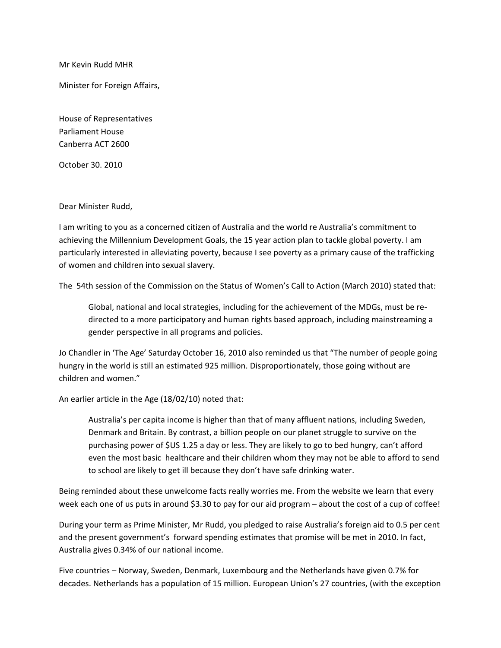Mr Kevin Rudd MHR

Minister for Foreign Affairs,

House of Representatives Parliament House Canberra ACT 2600

October 30. 2010

Dear Minister Rudd,

I am writing to you as a concerned citizen of Australia and the world re Australia's commitment to achieving the Millennium Development Goals, the 15 year action plan to tackle global poverty. I am particularly interested in alleviating poverty, because I see poverty as a primary cause of the trafficking of women and children into sexual slavery.

The 54th session of the Commission on the Status of Women's Call to Action (March 2010) stated that:

Global, national and local strategies, including for the achievement of the MDGs, must be redirected to a more participatory and human rights based approach, including mainstreaming a gender perspective in all programs and policies.

Jo Chandler in 'The Age' Saturday October 16, 2010 also reminded us that "The number of people going hungry in the world is still an estimated 925 million. Disproportionately, those going without are children and women."

An earlier article in the Age (18/02/10) noted that:

Australia's per capita income is higher than that of many affluent nations, including Sweden, Denmark and Britain. By contrast, a billion people on our planet struggle to survive on the purchasing power of \$US 1.25 a day or less. They are likely to go to bed hungry, can't afford even the most basic healthcare and their children whom they may not be able to afford to send to school are likely to get ill because they don't have safe drinking water.

Being reminded about these unwelcome facts really worries me. From the website we learn that every week each one of us puts in around \$3.30 to pay for our aid program – about the cost of a cup of coffee!

During your term as Prime Minister, Mr Rudd, you pledged to raise Australia's foreign aid to 0.5 per cent and the present government's forward spending estimates that promise will be met in 2010. In fact, Australia gives 0.34% of our national income.

Five countries – Norway, Sweden, Denmark, Luxembourg and the Netherlands have given 0.7% for decades. Netherlands has a population of 15 million. European Union's 27 countries, (with the exception